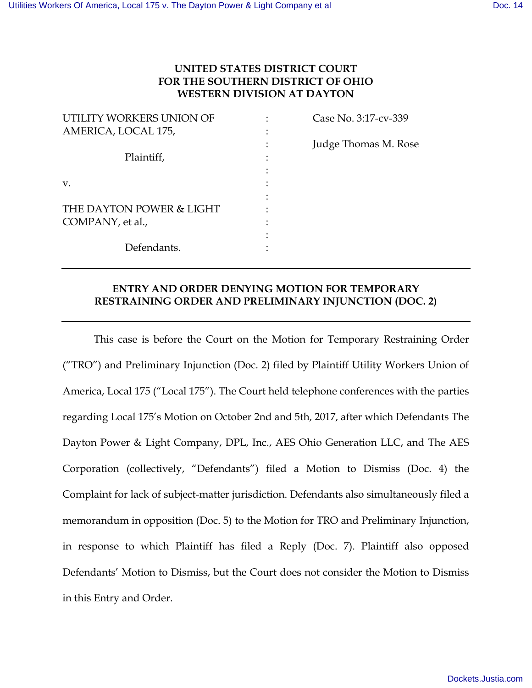# **UNITED STATES DISTRICT COURT FOR THE SOUTHERN DISTRICT OF OHIO WESTERN DIVISION AT DAYTON**

| UTILITY WORKERS UNION OF | Case No. 3:17-cv-339 |
|--------------------------|----------------------|
| AMERICA, LOCAL 175,      |                      |
|                          | Judge Thomas M. Rose |
| Plaintiff,               |                      |
|                          |                      |
| V.                       |                      |
|                          |                      |
| THE DAYTON POWER & LIGHT |                      |
| COMPANY, et al.,         |                      |
|                          |                      |
| Defendants.              |                      |
|                          |                      |

# **ENTRY AND ORDER DENYING MOTION FOR TEMPORARY RESTRAINING ORDER AND PRELIMINARY INJUNCTION (DOC. 2)**

This case is before the Court on the Motion for Temporary Restraining Order ("TRO") and Preliminary Injunction (Doc. 2) filed by Plaintiff Utility Workers Union of America, Local 175 ("Local 175"). The Court held telephone conferences with the parties regarding Local 175's Motion on October 2nd and 5th, 2017, after which Defendants The Dayton Power & Light Company, DPL, Inc., AES Ohio Generation LLC, and The AES Corporation (collectively, "Defendants") filed a Motion to Dismiss (Doc. 4) the Complaint for lack of subject-matter jurisdiction. Defendants also simultaneously filed a memorandum in opposition (Doc. 5) to the Motion for TRO and Preliminary Injunction, in response to which Plaintiff has filed a Reply (Doc. 7). Plaintiff also opposed Defendants' Motion to Dismiss, but the Court does not consider the Motion to Dismiss in this Entry and Order.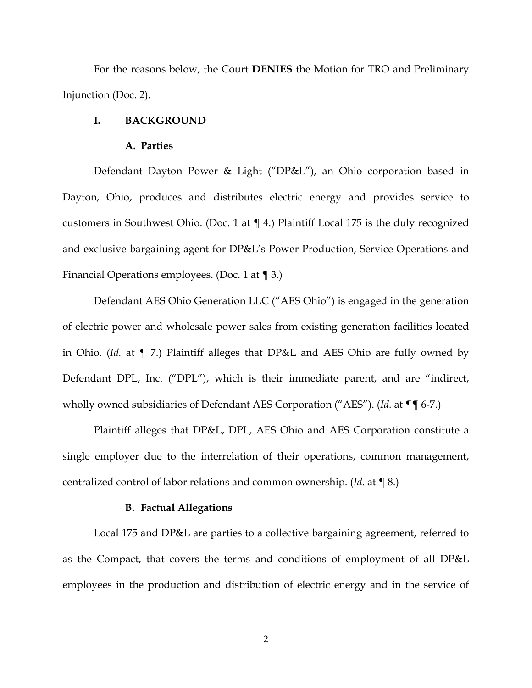For the reasons below, the Court **DENIES** the Motion for TRO and Preliminary Injunction (Doc. 2).

## **I. BACKGROUND**

#### **A. Parties**

Defendant Dayton Power & Light ("DP&L"), an Ohio corporation based in Dayton, Ohio, produces and distributes electric energy and provides service to customers in Southwest Ohio. (Doc. 1 at ¶ 4.) Plaintiff Local 175 is the duly recognized and exclusive bargaining agent for DP&L's Power Production, Service Operations and Financial Operations employees. (Doc. 1 at ¶ 3.)

Defendant AES Ohio Generation LLC ("AES Ohio") is engaged in the generation of electric power and wholesale power sales from existing generation facilities located in Ohio. (*Id.* at ¶ 7.) Plaintiff alleges that DP&L and AES Ohio are fully owned by Defendant DPL, Inc. ("DPL"), which is their immediate parent, and are "indirect, wholly owned subsidiaries of Defendant AES Corporation ("AES"). (*Id.* at ¶¶ 6-7.)

Plaintiff alleges that DP&L, DPL, AES Ohio and AES Corporation constitute a single employer due to the interrelation of their operations, common management, centralized control of labor relations and common ownership. (*Id.* at ¶ 8.)

#### **B. Factual Allegations**

Local 175 and DP&L are parties to a collective bargaining agreement, referred to as the Compact, that covers the terms and conditions of employment of all DP&L employees in the production and distribution of electric energy and in the service of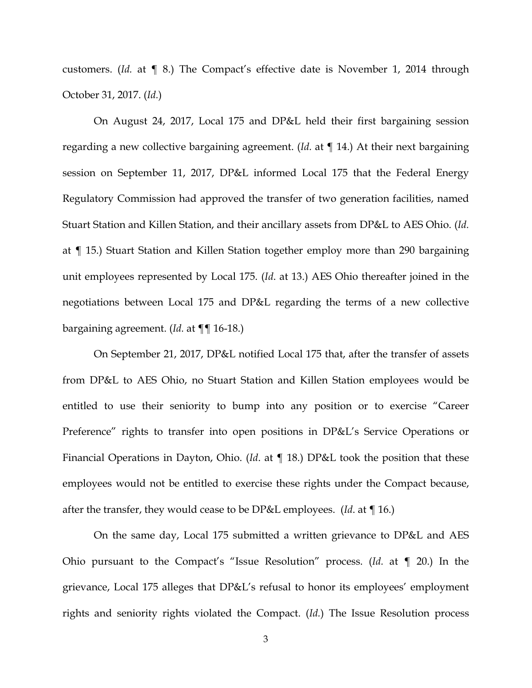customers. (*Id.* at ¶ 8.) The Compact's effective date is November 1, 2014 through October 31, 2017. (*Id.*)

On August 24, 2017, Local 175 and DP&L held their first bargaining session regarding a new collective bargaining agreement. (*Id.* at ¶ 14.) At their next bargaining session on September 11, 2017, DP&L informed Local 175 that the Federal Energy Regulatory Commission had approved the transfer of two generation facilities, named Stuart Station and Killen Station, and their ancillary assets from DP&L to AES Ohio. (*Id.* at ¶ 15.) Stuart Station and Killen Station together employ more than 290 bargaining unit employees represented by Local 175. (*Id*. at 13.) AES Ohio thereafter joined in the negotiations between Local 175 and DP&L regarding the terms of a new collective bargaining agreement. (*Id.* at ¶¶ 16-18.)

On September 21, 2017, DP&L notified Local 175 that, after the transfer of assets from DP&L to AES Ohio, no Stuart Station and Killen Station employees would be entitled to use their seniority to bump into any position or to exercise "Career Preference" rights to transfer into open positions in DP&L's Service Operations or Financial Operations in Dayton, Ohio. (*Id*. at ¶ 18.) DP&L took the position that these employees would not be entitled to exercise these rights under the Compact because, after the transfer, they would cease to be DP&L employees. (*Id*. at ¶ 16.)

On the same day, Local 175 submitted a written grievance to DP&L and AES Ohio pursuant to the Compact's "Issue Resolution" process. (*Id.* at ¶ 20.) In the grievance, Local 175 alleges that DP&L's refusal to honor its employees' employment rights and seniority rights violated the Compact. (*Id.*) The Issue Resolution process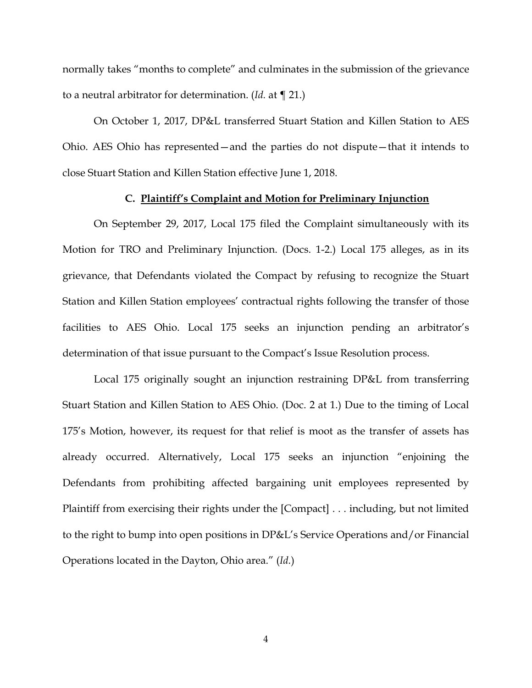normally takes "months to complete" and culminates in the submission of the grievance to a neutral arbitrator for determination. (*Id.* at ¶ 21.)

On October 1, 2017, DP&L transferred Stuart Station and Killen Station to AES Ohio. AES Ohio has represented—and the parties do not dispute—that it intends to close Stuart Station and Killen Station effective June 1, 2018.

### **C. Plaintiff's Complaint and Motion for Preliminary Injunction**

On September 29, 2017, Local 175 filed the Complaint simultaneously with its Motion for TRO and Preliminary Injunction. (Docs. 1-2.) Local 175 alleges, as in its grievance, that Defendants violated the Compact by refusing to recognize the Stuart Station and Killen Station employees' contractual rights following the transfer of those facilities to AES Ohio. Local 175 seeks an injunction pending an arbitrator's determination of that issue pursuant to the Compact's Issue Resolution process.

Local 175 originally sought an injunction restraining DP&L from transferring Stuart Station and Killen Station to AES Ohio. (Doc. 2 at 1.) Due to the timing of Local 175's Motion, however, its request for that relief is moot as the transfer of assets has already occurred. Alternatively, Local 175 seeks an injunction "enjoining the Defendants from prohibiting affected bargaining unit employees represented by Plaintiff from exercising their rights under the [Compact] . . . including, but not limited to the right to bump into open positions in DP&L's Service Operations and/or Financial Operations located in the Dayton, Ohio area." (*Id.*)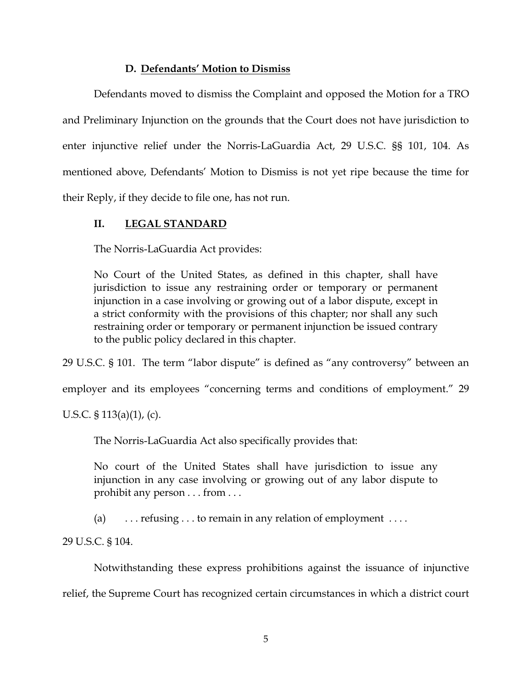## **D. Defendants' Motion to Dismiss**

Defendants moved to dismiss the Complaint and opposed the Motion for a TRO and Preliminary Injunction on the grounds that the Court does not have jurisdiction to enter injunctive relief under the Norris-LaGuardia Act, 29 U.S.C. §§ 101, 104. As mentioned above, Defendants' Motion to Dismiss is not yet ripe because the time for their Reply, if they decide to file one, has not run.

## **II. LEGAL STANDARD**

The Norris-LaGuardia Act provides:

No Court of the United States, as defined in this chapter, shall have jurisdiction to issue any restraining order or temporary or permanent injunction in a case involving or growing out of a labor dispute, except in a strict conformity with the provisions of this chapter; nor shall any such restraining order or temporary or permanent injunction be issued contrary to the public policy declared in this chapter.

29 U.S.C. § 101. The term "labor dispute" is defined as "any controversy" between an

employer and its employees "concerning terms and conditions of employment." 29

U.S.C. § 113(a)(1), (c).

The Norris-LaGuardia Act also specifically provides that:

No court of the United States shall have jurisdiction to issue any injunction in any case involving or growing out of any labor dispute to prohibit any person . . . from . . .

(a)  $\ldots$  refusing  $\ldots$  to remain in any relation of employment  $\ldots$ .

29 U.S.C. § 104.

Notwithstanding these express prohibitions against the issuance of injunctive relief, the Supreme Court has recognized certain circumstances in which a district court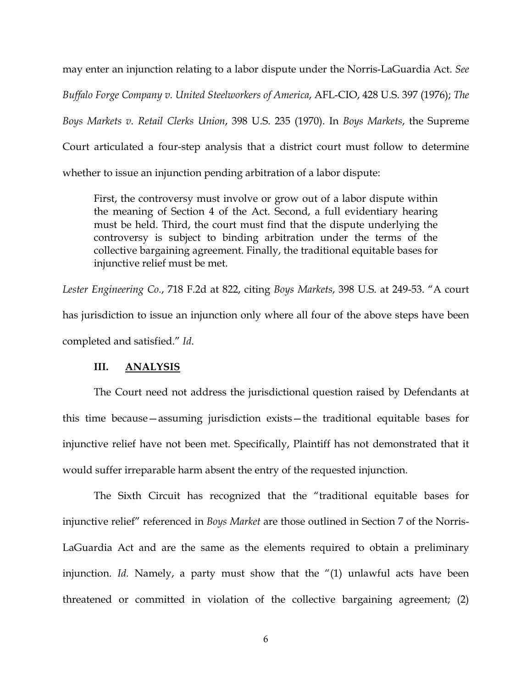may enter an injunction relating to a labor dispute under the Norris-LaGuardia Act. *See Buffalo Forge Company v. United Steelworkers of America*, AFL-CIO, 428 U.S. 397 (1976); *The Boys Markets v. Retail Clerks Union*, 398 U.S. 235 (1970). In *Boys Markets*, the Supreme Court articulated a four-step analysis that a district court must follow to determine whether to issue an injunction pending arbitration of a labor dispute:

First, the controversy must involve or grow out of a labor dispute within the meaning of Section 4 of the Act. Second, a full evidentiary hearing must be held. Third, the court must find that the dispute underlying the controversy is subject to binding arbitration under the terms of the collective bargaining agreement. Finally, the traditional equitable bases for injunctive relief must be met.

*Lester Engineering Co.*, 718 F.2d at 822, citing *Boys Markets*, 398 U.S. at 249-53. "A court has jurisdiction to issue an injunction only where all four of the above steps have been completed and satisfied." *Id*.

### **III. ANALYSIS**

The Court need not address the jurisdictional question raised by Defendants at this time because—assuming jurisdiction exists—the traditional equitable bases for injunctive relief have not been met. Specifically, Plaintiff has not demonstrated that it would suffer irreparable harm absent the entry of the requested injunction.

The Sixth Circuit has recognized that the "traditional equitable bases for injunctive relief" referenced in *Boys Market* are those outlined in Section 7 of the Norris-LaGuardia Act and are the same as the elements required to obtain a preliminary injunction. *Id.* Namely, a party must show that the "(1) unlawful acts have been threatened or committed in violation of the collective bargaining agreement; (2)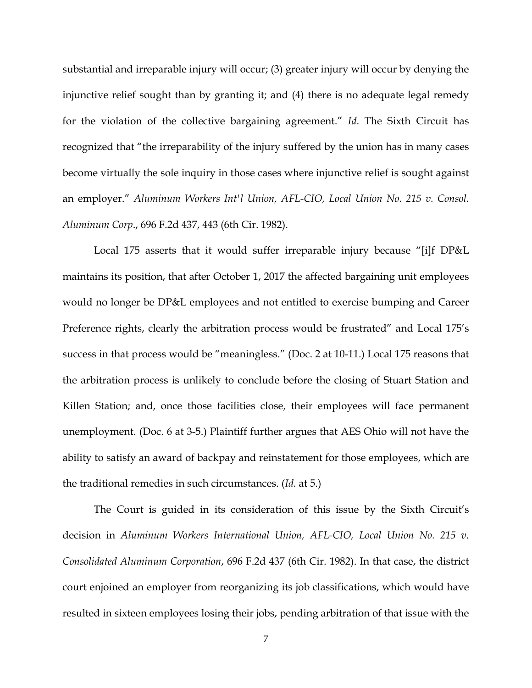substantial and irreparable injury will occur; (3) greater injury will occur by denying the injunctive relief sought than by granting it; and (4) there is no adequate legal remedy for the violation of the collective bargaining agreement." *Id*. The Sixth Circuit has recognized that "the irreparability of the injury suffered by the union has in many cases become virtually the sole inquiry in those cases where injunctive relief is sought against an employer." *Aluminum Workers Int'l Union, AFL-CIO, Local Union No. 215 v. Consol. Aluminum Corp*., 696 F.2d 437, 443 (6th Cir. 1982).

Local 175 asserts that it would suffer irreparable injury because "[i]f DP&L maintains its position, that after October 1, 2017 the affected bargaining unit employees would no longer be DP&L employees and not entitled to exercise bumping and Career Preference rights, clearly the arbitration process would be frustrated" and Local 175's success in that process would be "meaningless." (Doc. 2 at 10-11.) Local 175 reasons that the arbitration process is unlikely to conclude before the closing of Stuart Station and Killen Station; and, once those facilities close, their employees will face permanent unemployment. (Doc. 6 at 3-5.) Plaintiff further argues that AES Ohio will not have the ability to satisfy an award of backpay and reinstatement for those employees, which are the traditional remedies in such circumstances. (*Id.* at 5.)

The Court is guided in its consideration of this issue by the Sixth Circuit's decision in *Aluminum Workers International Union, AFL-CIO, Local Union No. 215 v. Consolidated Aluminum Corporation*, 696 F.2d 437 (6th Cir. 1982). In that case, the district court enjoined an employer from reorganizing its job classifications, which would have resulted in sixteen employees losing their jobs, pending arbitration of that issue with the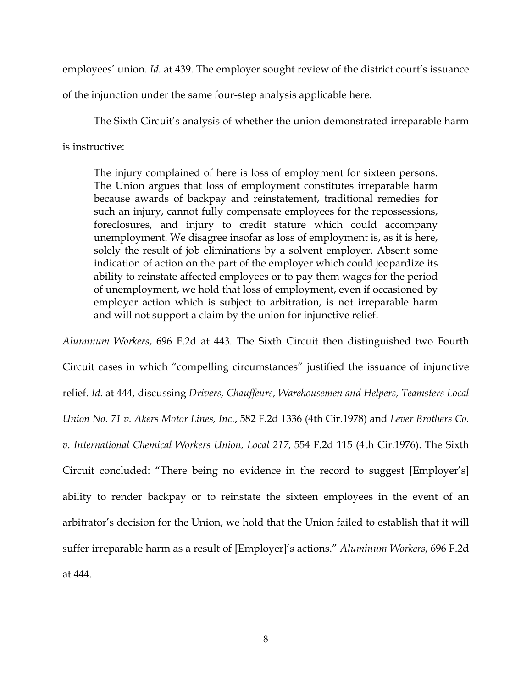employees' union. *Id.* at 439. The employer sought review of the district court's issuance

of the injunction under the same four-step analysis applicable here.

The Sixth Circuit's analysis of whether the union demonstrated irreparable harm is instructive:

The injury complained of here is loss of employment for sixteen persons. The Union argues that loss of employment constitutes irreparable harm because awards of backpay and reinstatement, traditional remedies for such an injury, cannot fully compensate employees for the repossessions, foreclosures, and injury to credit stature which could accompany unemployment. We disagree insofar as loss of employment is, as it is here, solely the result of job eliminations by a solvent employer. Absent some indication of action on the part of the employer which could jeopardize its ability to reinstate affected employees or to pay them wages for the period of unemployment, we hold that loss of employment, even if occasioned by employer action which is subject to arbitration, is not irreparable harm and will not support a claim by the union for injunctive relief.

*Aluminum Workers*, 696 F.2d at 443. The Sixth Circuit then distinguished two Fourth Circuit cases in which "compelling circumstances" justified the issuance of injunctive relief. *Id.* at 444, discussing *Drivers, Chauffeurs, Warehousemen and Helpers, Teamsters Local Union No. 71 v. Akers Motor Lines, Inc.*, 582 F.2d 1336 (4th Cir.1978) and *Lever Brothers Co. v. International Chemical Workers Union, Local 217*, 554 F.2d 115 (4th Cir.1976). The Sixth Circuit concluded: "There being no evidence in the record to suggest [Employer's] ability to render backpay or to reinstate the sixteen employees in the event of an arbitrator's decision for the Union, we hold that the Union failed to establish that it will suffer irreparable harm as a result of [Employer]'s actions." *Aluminum Workers*, 696 F.2d at 444.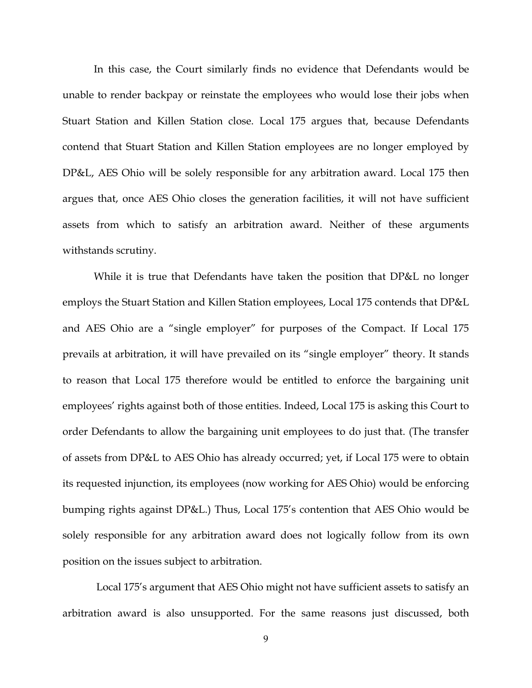In this case, the Court similarly finds no evidence that Defendants would be unable to render backpay or reinstate the employees who would lose their jobs when Stuart Station and Killen Station close. Local 175 argues that, because Defendants contend that Stuart Station and Killen Station employees are no longer employed by DP&L, AES Ohio will be solely responsible for any arbitration award. Local 175 then argues that, once AES Ohio closes the generation facilities, it will not have sufficient assets from which to satisfy an arbitration award. Neither of these arguments withstands scrutiny.

While it is true that Defendants have taken the position that DP&L no longer employs the Stuart Station and Killen Station employees, Local 175 contends that DP&L and AES Ohio are a "single employer" for purposes of the Compact. If Local 175 prevails at arbitration, it will have prevailed on its "single employer" theory. It stands to reason that Local 175 therefore would be entitled to enforce the bargaining unit employees' rights against both of those entities. Indeed, Local 175 is asking this Court to order Defendants to allow the bargaining unit employees to do just that. (The transfer of assets from DP&L to AES Ohio has already occurred; yet, if Local 175 were to obtain its requested injunction, its employees (now working for AES Ohio) would be enforcing bumping rights against DP&L.) Thus, Local 175's contention that AES Ohio would be solely responsible for any arbitration award does not logically follow from its own position on the issues subject to arbitration.

 Local 175's argument that AES Ohio might not have sufficient assets to satisfy an arbitration award is also unsupported. For the same reasons just discussed, both